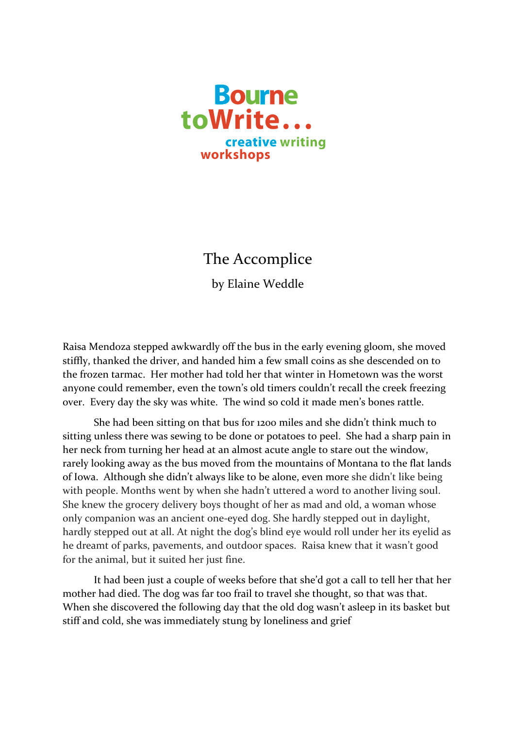

## The Accomplice

by Elaine Weddle

Raisa Mendoza stepped awkwardly off the bus in the early evening gloom, she moved stiffly, thanked the driver, and handed him a few small coins as she descended on to the frozen tarmac. Her mother had told her that winter in Hometown was the worst anyone could remember, even the town's old timers couldn't recall the creek freezing over. Every day the sky was white. The wind so cold it made men's bones rattle.

She had been sitting on that bus for 1200 miles and she didn't think much to sitting unless there was sewing to be done or potatoes to peel. She had a sharp pain in her neck from turning her head at an almost acute angle to stare out the window, rarely looking away as the bus moved from the mountains of Montana to the flat lands of Iowa. Although she didn't always like to be alone, even more she didn't like being with people. Months went by when she hadn't uttered a word to another living soul. She knew the grocery delivery boys thought of her as mad and old, a woman whose only companion was an ancient one-eyed dog. She hardly stepped out in daylight, hardly stepped out at all. At night the dog's blind eye would roll under her its eyelid as he dreamt of parks, pavements, and outdoor spaces. Raisa knew that it wasn't good for the animal, but it suited her just fine.

It had been just a couple of weeks before that she'd got a call to tell her that her mother had died. The dog was far too frail to travel she thought, so that was that. When she discovered the following day that the old dog wasn't asleep in its basket but stiff and cold, she was immediately stung by loneliness and grief